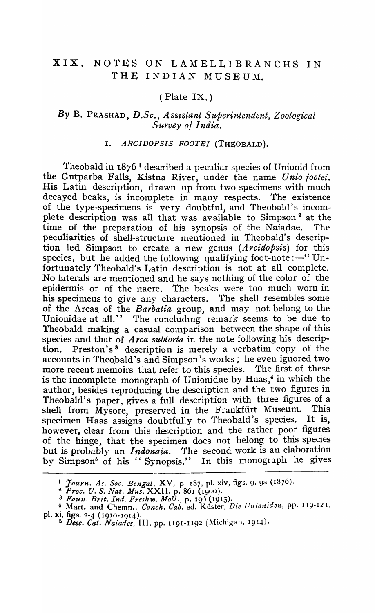# XIX. NOTES ON LAMELLIBRANCHS IN THE INDIAN MUSEUM.

#### (Plate IX.)

#### *By* B. PRASHAD, *D.Se., Assistant Superintendent, Zoological Survey o/India.*

#### I. *ARCIDOPSIS FOOTEI* (THEOBAI,D).

Theobald in  $1876$ <sup>t</sup> described a peculiar species of Unionid from the Gutparba Falls, Kistna River, under the name *Unio /ootei.*  His Latin description, drawn up from two specimens with much decayed beaks, is incomplete in many respects. The existence of the type-specimens is very doubtful, and Theobald's incomplete description was all that was available to Simpson<sup>2</sup> at the time of the preparation of his synopsis of the Naiadae. The peculiarities of shell-structure mentioned in Theobald's description led Simpson to create a new genus *(Arcidopsis)* for this species, but he added the following qualifying foot-note :- "Unfortunately Theobald's Latin description is not at all complete. No laterals are mentioned and he says nothing of the color of the epidermis or of the nacre. The beaks were too much worn in his specimens to give any characters. The shell resembles some of the Arcas, of the *Barbatia* group, and may not belong to the Unionidae at all." The concluding remark seems to be due to Theobald making a casual comparison between the shape of this species and that of A *rca subtorta* in the note following his description. Preston's<sup>8</sup> description is merely a verbatim copy of the accounts in TheQbald's and Simpson's works; he even ignored two more recent memoirs that refer to this species. The first of these is the incomplete monograph of Unionidae by Haas,<sup>4</sup> in which the author, besides reproducing the description and the two figures in Theobald's paper, gives a full description with three figures of a shell from Mysore, preserved in the Frankfurt Museum. This specimen Haas assigns doubtfully to Theobald's species. It is, however, clear from this description and the rather poor figures of the hinge, that the specimen does not belong to this species but is probably an *Indonaia.* The second work is an elaboration by Simpson<sup>6</sup> of his " Synopsis." In this monograph he gives

<sup>&</sup>lt;sup>1</sup> *Journ. As. Soc. Bengal*, XV, p. 187, pl. xiv, figs. 9, 9a (1876).

<sup>&</sup>lt;sup>2</sup> Proc. U. S. *Nat. Mus.* XXII, p. 861 (1900).

<sup>&</sup>lt;sup>1</sup> Journ. As. Soc. Bengal, XV, p. 187, pl. xiv, figs. 9, 9a (1876).<br><sup>2</sup> Proc. U. S. Nat. Mus. XXII, p. 861 (1900).<br><sup>3</sup> Faun. Brit. Ind. Freshw. Moll., p. 196 (1915).<br>• Mart. and Chemn., *Conch. Cab.* ed. Küster, *Die Unio* pl. xi, figs. 2-4 (1910-1914).

<sup>&</sup>lt;sup>6</sup> Desc. Cat. Naiades, III, pp. 1191-1192 (Michigan, 1914).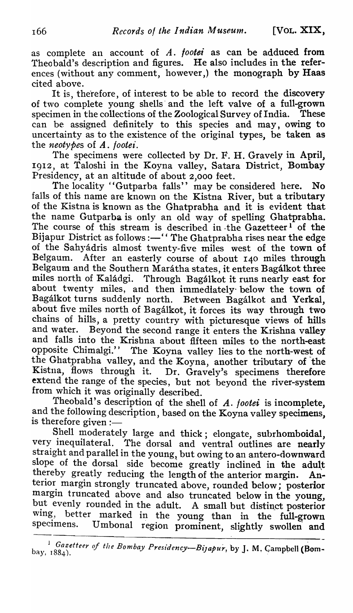as complete an account of *A. footei* as can be adduced from Theobald's description and figures. He also includes in the references (without any comment, however,) the monograph by Haas cited above.

It is, therefore, of interest to be able to record the discovery of two complete young shells· and the left valve of a full-grown specimen in the collections of the Zoological Survey of India. These can be assigned definitely to this species and may, owing to uncertainty as to the existence of the original types, be taken as the *neotypes* of A. *footei.* 

The specimens were collected by Dr. F. H. Gravely in April, 1912, at Taloshi in the Koyna valley, Satara District, Bombay Presidency, at an altitude of about 2,000 feet.

The locality "Gutparba falls" may be considered here. No falls of this name are known on the Kistna River, but a tributary of the Kistna is known as the Ghatprabha and it is evident that the name Gutparba is only an old way of spelling Ghatprabha. The course of this stream is described in the Gazetteer<sup>1</sup> of the Bijapur District as follows :- " The Ghatprabha rises near the edge of the Sahyádris almost twenty-five miles west of the town of Belgaum. After an easterly course of about 140 miles through After an easterly course of about 140 miles through Belgaum and the Southern Maratha states, it enters Bagalkot three miles north of Kaládgi. Through Bagálkot it runs nearly east for about twenty miles, and then immediately· below the town of Bagalkot turns suddenly north. Between Bagalkot and Yerkal, about five miles north of Bagálkot, it forces its way through two chains of hills, a pretty country with picturesque views of hills and water. Bevond the second range it enters the Krishna valley Beyond the second range it enters the Krishna valley and falls into the Krishna about fifteen miles to the north-east opposite Chimalgi.') The Koyna valley lies to the north-west of the Ghatprabha valley, and the Koyna, another tributary of the Kistna, flows through it. Dr. Gravely's specimens therefore extend the range of the species, but not beyond the river-system from which it was originally described.

Theobald's description Qf the shell of A. *footei* is incomplete, and the following description, based on the Koyna valley specimens,<br>is therefore given :—

Shell moderately large and thick; elongate, subrhomboidal, very inequilateral. The dorsal and ventral outlines are nearly straight and parallel in the young, but owing to an antero-downward slope of the dorsal side become greatly inclined in the adult thereby greatly reducing the length of the anterior margin. Anterior margin strongly truncated above, rounded below; posterior margin truncated above and also truncated below in the young, but evenly rounded in the adult. A small but distinct posterior wing, better marked in the young than in the full-grown Umbonal region prominent, slightly swollen and

--------------------------------~-----------------

<sup>1&</sup>lt;sup>1</sup> Gazetteer of the Bombay Presidency—Bijapur, by J. M. Campbell (Bombay, 1884).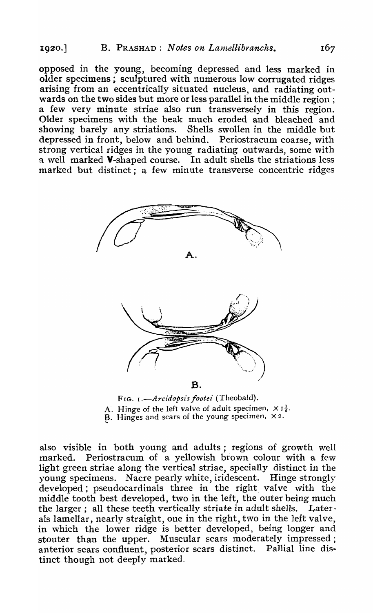opposed in the young, becoming depressed and less marked in older specimens; sculptured with numerous low corrugated ridges arising from an eccentrically situated nucleus, and radiating outwards on the two sides but more or less parallel in the middle region; a few very minute striae also run transversely in this region. Older specimens with the beak much eroded and bleached and showing barely any striations. Shells swollen in the middle but depressed in front, below and behind. Periostracum coarse, with strong vertical ridges in the young radiating outwards, some with a well marked V-shaped course. In adult shells the striations less marked but distinct; a few minute transverse concentric ridges



FIG. I *.-Arcidopsis footei* (Theobald). A. Hinge of the left valve of adult specimen,  $\times 1\frac{1}{2}$ . B. Hinges and scars of the young specimen,  $\times$  2.

also visible in both young and adults; regions of growth well marked. Periostracum of a yellowish brown colour with a few light green striae along the vertical striae, specially distinct in the young specimens. Nacre pearly white, iridescent. Hinge strongly developed; pseudocardinals three in the right valve with the middle tooth best developed, two in the left, the outer being much the larger; all these teeth vertically striate in adult shells. Laterals lamellar, nearly straight, one in the right, two in the left valve, in which the lower ridge is better developed, being longer and stouter than the upper. Muscular scars moderately impressed; anterior scars confluent, posterior scars distinct. Pallial line distinct though not deeply marked.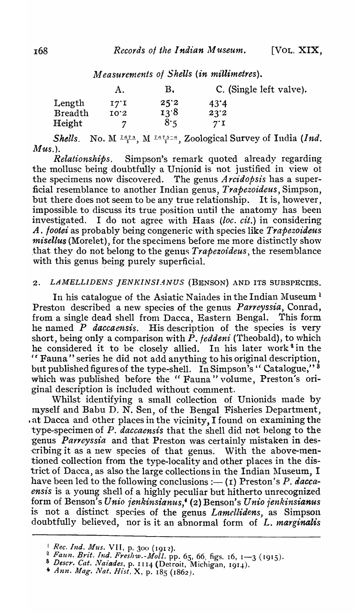## *Measurements of Shells (in millimetres).*

|                | Α.     | в.            | C. (Single left valve). |
|----------------|--------|---------------|-------------------------|
| Length         | $I7^T$ | $25^{\circ}2$ | $43^{\circ}4$           |
| <b>Breadth</b> | 10'2   | 13.8          | 23'2                    |
| Height         | ר      | 8.5           | $7^{\circ}$ I           |

*Shells. Mus.).*  No. M <sup>1673</sup>, M <sup>1675-6</sup>, Zoological Survey of India *(Ind.* 

*Relationships.* Simpson's remark quoted already regarding the mollusc being doubtfully a Unionid is not justified in view of the specimens now discovered. The genus *A rcidopsis* has a superficial resemblance to another Indian genus, *Trapezoideus,* Simpson, but there does not seem to be any true relationship. It is, however, impossible. to discuss its true position until the anatomy has been investigated. I do not agree with Haas *(loc. cit.)* in considering A. *footei* as probably being congeneric with species like *Trapezoideus misellus* (Morelet), for the specimens before me more distinctly show Jhat they do not belong to the genus *Trapezoideus,* the resemblance with this genus being purely superficial.

## *2. LAMELLIDENS JENKINSIANUS* (BENSON) AND ITS SUBSpECIES.

In his catalogue of the Asiatic Naiades in the Indian Museum 1 Preston described a new species of the genus *Parreyssia,* Conrad, from a single dead shell from Dacca, Eastern Bengal. This form he named *P daccaensis.* His description of the species is very short, being only a comparison with *P.feddeni* (Theobald), to which he considered it to be closely allied. In his later work<sup>2</sup> in the " Fauna" series he did not add anything to his original description, but published figures of the type-shell. In Simpson's "Catalogue,"<sup>3</sup> which was published before the "Fauna" volume, Preston's original description is included without comment.

Whilst identifying a small collection of Unionids made by myself and Babu D. N, Sen, of the Bengal Fisheries Department, .at Dacca and other places in the vicinity, I found on examining the type-specimen of P. *daccaensis* that the shell did not helong to the genus *Parreyssia* and that Preston was certainly mistaken in deseribing it as a new species of that genus. With the above-mentioned collection from the type-locality and other places in the district of Dacca, as also the large collections in the Indian Museum,  $I$ have been led to the following conclusions :— (1) Preston's P. *daccaensis* is a young shell of a highly peculiar but hitherto unrecognized form of Benson's *Unio ienkinsianus,·* (2) Benson's *Unio ienkinsianus*  is not a distinct species of the genus *Lamellidens*, as Simpson doubtfully believed, nor is it an abnormal form of *L. marginalis* 

<sup>&</sup>lt;sup>1</sup> Rec. Ind. Mus. VII, p. 300 (1912).

<sup>&</sup>lt;sup>2</sup> Faun. Brit. Ind. Freshw.-Moll. pp. 65, 66, figs. 16, 1–3 (1915).

<sup>&</sup>lt;sup>3</sup> Descr. Cat. Naiades, p. 1114 (Detroit, Michigan, 1914).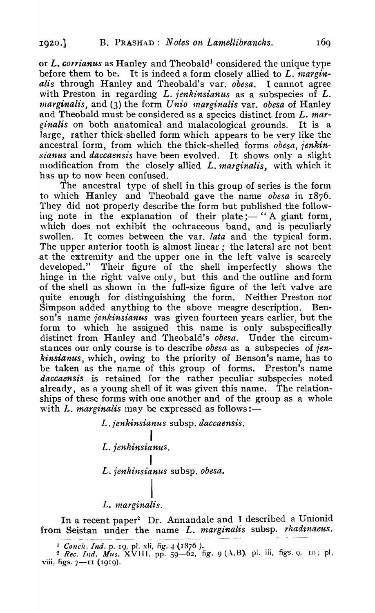or L. *corrianus* as Hanley and Theobald) considered the unique type before them to be. It is indeed a form closely allied to L. *marginalis* through Hanley and Theobald's var. *obesa.* I cannot agree with Preston in regarding L. *ienkinsianus* as a subspecies of L. *narginalis, and (3) the form Unio marginalis var. obesa of Hanley* and Theobald must be considered as a species distinct from L. *mar*ginalis on both anatomical and malacological grounds. It is a large, rather thick shelled form which appears to be very like the ancestral form, from which the thick-shelled forms *obesa, jenkinsianus* and *daccaensis* have been evolved. It shows only a slight 111odification from the closely allied L. *marginalis,* with which it has up to now heen confused.

The ancestral type of shell in this group of series is the form to \vhich Hanley and Theobald gave the name *obesa* in 1876. They did not properly describe the form but published the following note in the explanation of their plate;— "A giant form, which does not exhibit the ochraceous band, and is peculiarly swollen. It comes between the var. *lata* and the typical form. The upper anterior tooth is almost linear; the lateral are not bent at the extremity and the upper one in the left valve is scarcely developed." Their figure of the shell imperfectly shows the hinge in the right valve only, but this and the outline and form of the shell as shown in the full-size figure of the left valve are quite enough for distinguishing the form. Neither Preston nor Simpson added anything to the above meagre description. Benson's name *jenkinsianus* was given fourteen years earlier; but the form to which he assigned this name is only subspecifically distinct from Hanley and Theobald's *obesa.* Under the circumstances our only course is to describe *obesa* as a subspecies of *jenkinsianus,* \vhich, owing to the priority of Benson's name, has to be taken as the name of this group of forms. Preston's name *daccaensis* is retained for the rather peculiar subspecies noted already, as a young shell of it was given this name. The relationships of these forms with one another and of the group as a whole with  $L$ . marginalis may be expressed as follows:-

*L. jenkinsianus* subsp. *daccaensis.* 

I *L. jenkinsianus.* 

I *L. ienkinsianus* subsp. *obesa.* 

 $\prod_{\bullet}$ L. marginalis.

In a recent paper<sup>2</sup> Dr. Annandale and I described a Unionid from Seistan under the name *L. marginalis* subsp. *rhadinaeus*.

<sup>1</sup>*Conch. Ind.* p. 19, pI. xli, fig. 4 (1876 ).

<sup>2</sup> *Rec. Ind. Mus.* XVIII, pp. 59–62, fig. 9 (A,B), pl. iii, figs. 9, 10; pl.  $viii, figs. 7—11 (1919).$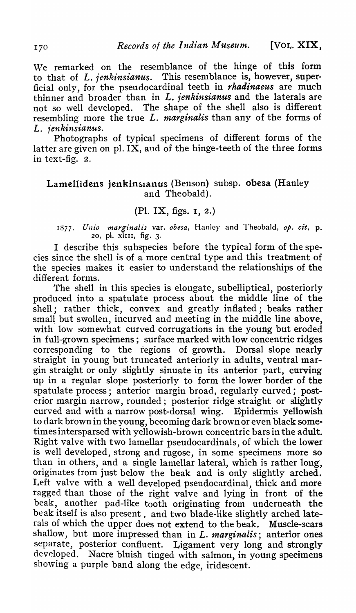We remarked on the resemblance of the hinge of this form to that of *L. jenkinsianus.* This resenlblance is, however, superficial only, for the pseudocardinal teeth in *rhadinaeus* are much thinner and broader than in L. *ienkinslanus* and the laterals are not so well developed. The shape of the shell also is different resembling more the true L. *marginalis* than any of the forms of L. *ienkinsianus.* 

Photographs of typical specimens of different forms of the latter are given on pI. IX, and of the hinge-teeth of the three forms in text-fig. 2.

# Lamellidens jenkinsianus (Benson) subsp. obesa (Hanley and Theobald).

## (PI. IX, figs. I, 2.)

1877. Unio marginalis var. obesa, Hanley and Theobald, op. cit, p. 20, pI. XlIII, fig. 3.

I describe this subspecies before the typical form of the species since the shell is of a more central type a.ud this treatment of the species makes it easier to understand the relationships of the different forms.

The shell in this species is elongate, subelliptical, posteriorly produced into a spatulate process about the middle line of the  $shell$ ; rather thick, convex and greatly inflated; beaks rather small but swollen, incurved and meeting in the middle line above, with low somewhat curved corrugations in the young but eroded in full-grown specimens; surface marked with low concentric ridges corresponding to the regions of growth. Dorsal slope nearly straight in young but truncated anteriorly in adults, ventral margin straight or only slightly sinuate in. its anterior part, curving up in a regular slope posteriorly to form the lower border of the spatulate process; anterior margin broad, regularly curved; posterior margin narrow, rounded; posterior ridge straight or slightly curved and with a narrow post-dorsal wing. Epidermis yellowish to dark brown in the young, becoming dark brown or even black sometimes intersparsed with yellowish-brown concentric bars in the adult. Right valve with two lamellar pseudocardinals, of which the lower is well developed, strong and rugose, in some specimens more so than in others, and a single lamellar lateral, which is rather long, originates from just below the beak and is only slightly arched. Left valve with a well developed pseudocardinal, thick and more ragged than those of the right valve and lying in front of the beak, another pad-like tooth originating from underneath the beak itself is also present, and two blade-like slightly arched laterals of which the upper does not extend to the beak. Muscle-scars shallow, but more impressed than in L. *marginalis*; anterior ones separate, posterior confluent. Ligament very long and strongly developed. Nacre bluish tinged with salmon, in young specimens showing a purple band along the edge, iridescent.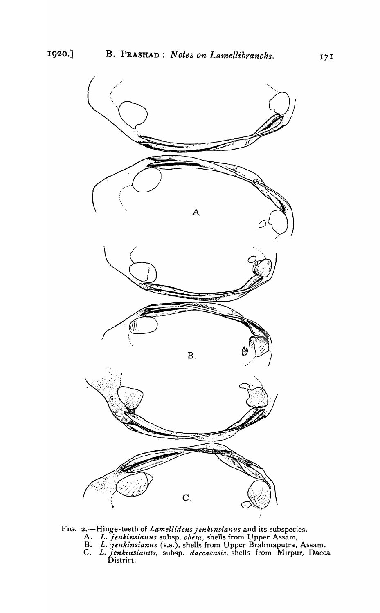

FIG. 2.-Hinge-teeth of *Lamellidens jenkinsianus* and its subspecies.

- A. *L. jenkinsianus* subsp. *obesa)* shells from Upper Assam,
- B. *L. jenkinsianus* (s.s.), shells from Upper Brahmaputra, Assam.
- C. L. *jenkinsianus*, subsp. *daccaensis*, shells from Mirpur, Dacca District.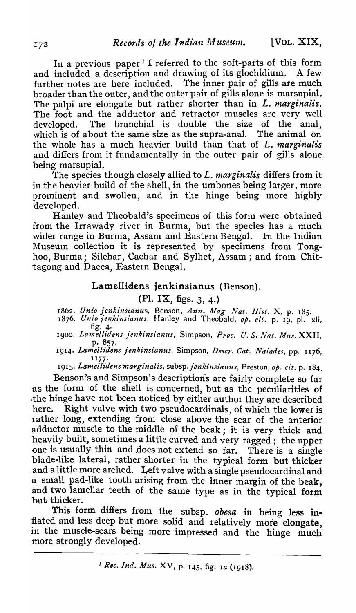In a previous paper<sup>1</sup> I referred to the soft-parts of this form and included a description and drawing of its glochidium. A few further notes are here included. The inner pair of gills are much broader than the outer, and the outer pair of gills alone is marsupial. The palpi are elongate but rather shorter than in *L. marginalis.* The foot and the adductor and retractor muscles are very well developed. The branchial is double the size of the anal, which is of about the same size as the supra-anal. The animal on the whole has a much heavier build than that of L. *ntarginalis*  and differs from it fundamentally in the outer pair of gills alone being marsupial.

The species though closely allied to L. *marginalis* differs from it in the heavier build of the shell, in the umbones being larger, more prominent and swollen, and in the hinge being more highly developed.

Hanley and Theobald's specimens of this form \vere obtained from the Irrawady river in Burma, but the species has a much wider range in Burma, Assam and Eastern Bengal. In the Indian Museum collection it is represented by specimens from Tonghoo, Burma; Silchar, Cachar and Sylhet, Assam; and from Chittagong and Dacca, Eastern Bengal.

### Lamellidens jenkinsianus (Benson).

## (PI. IX, figs. 3, 4.)

- 1862. Unio jenkinsianus, Benson, Ann. Mag. Nat. Hist. X, p. 185.
- *1876. Unio jenkinsianus,* Hanley and Theobald, *Opt cit.* p. 19, pI. xli, fig. 4.
- 1900. *Lamellidens jenkinsianus,* Silnpson, *Pl'oe. U.* S. *Nat. Mus.* XXII, p. 857·
- <sup>191</sup>*4. Lamellidens jenkinsianus,* Simpson, *Descr. Cat. Naiades,* pp. 1176, 1177·

1915. Lamellidens marginalis, subsp. jenkinsianus, Preston, op. cit. p. 184.

Benson's and Simpson's descriptions are fairly complete so far as the form of the shell is concerned, but as the peculiarities of the hinge have not been noticed by either author they are described here. Right valve with two pseudocardinals, of which the lower is rather long, extending from close above the scar of the anterior adductor muscle to the middle of the beak; it is very thick and heavily built, sometimes a little curved and very ragged; the upper one is usually thin and does not extend so far. There is a single blade-like lateral, rather shorter in the typical form but thicker and a little more arched. Left valve with a single pseudocardinal and a small pad-like tooth arising from the inner margin of the beak, and two lamellar teeth of the same type as in the typical form but thicker.

This form differs from the subsp. obesa in being less inflated and less deep but more solid and relatively more elongate, in the muscle-scars being more impressed and the hinge much more strongly developed.